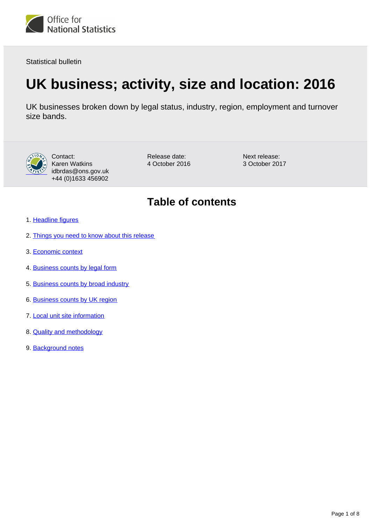

Statistical bulletin

# **UK business; activity, size and location: 2016**

UK businesses broken down by legal status, industry, region, employment and turnover size bands.



Contact: Karen Watkins idbrdas@ons.gov.uk +44 (0)1633 456902

Release date: 4 October 2016 Next release: 3 October 2017

# **Table of contents**

- 1. [Headline figures](#page-1-0)
- 2. [Things you need to know about this release](#page-1-1)
- 3. [Economic context](#page-1-2)
- 4. [Business counts by legal form](#page-3-0)
- 5. [Business counts by broad industry](#page-4-0)
- 6. [Business counts by UK region](#page-5-0)
- 7. [Local unit site information](#page-6-0)
- 8. **[Quality and methodology](#page-6-1)**
- 9. Background notes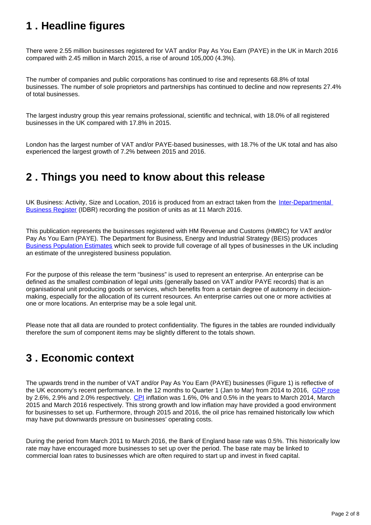# <span id="page-1-0"></span>**1 . Headline figures**

There were 2.55 million businesses registered for VAT and/or Pay As You Earn (PAYE) in the UK in March 2016 compared with 2.45 million in March 2015, a rise of around 105,000 (4.3%).

The number of companies and public corporations has continued to rise and represents 68.8% of total businesses. The number of sole proprietors and partnerships has continued to decline and now represents 27.4% of total businesses.

The largest industry group this year remains professional, scientific and technical, with 18.0% of all registered businesses in the UK compared with 17.8% in 2015.

London has the largest number of VAT and/or PAYE-based businesses, with 18.7% of the UK total and has also experienced the largest growth of 7.2% between 2015 and 2016.

## <span id="page-1-1"></span>**2 . Things you need to know about this release**

UK Business: Activity, Size and Location, 2016 is produced from an extract taken from the Inter-Departmental [Business Register](http://www.ons.gov.uk/aboutus/whatwedo/paidservices/interdepartmentalbusinessregisteridbr) (IDBR) recording the position of units as at 11 March 2016.

This publication represents the businesses registered with HM Revenue and Customs (HMRC) for VAT and/or Pay As You Earn (PAYE). The Department for Business, Energy and Industrial Strategy (BEIS) produces [Business Population Estimates](https://www.gov.uk/government/collections/business-population-estimates) which seek to provide full coverage of all types of businesses in the UK including an estimate of the unregistered business population.

For the purpose of this release the term "business" is used to represent an enterprise. An enterprise can be defined as the smallest combination of legal units (generally based on VAT and/or PAYE records) that is an organisational unit producing goods or services, which benefits from a certain degree of autonomy in decisionmaking, especially for the allocation of its current resources. An enterprise carries out one or more activities at one or more locations. An enterprise may be a sole legal unit.

Please note that all data are rounded to protect confidentiality. The figures in the tables are rounded individually therefore the sum of component items may be slightly different to the totals shown.

# <span id="page-1-2"></span>**3 . Economic context**

The upwards trend in the number of VAT and/or Pay As You Earn (PAYE) businesses (Figure 1) is reflective of the UK economy's recent performance. In the 12 months to Quarter 1 (Jan to Mar) from 2014 to 2016, [GDP rose](https://www.ons.gov.uk/economy/grossdomesticproductgdp) by 2.6%, 2.9% and 2.0% respectively. [CPI](http://) inflation was 1.6%, 0% and 0.5% in the years to March 2014, March 2015 and March 2016 respectively. This strong growth and low inflation may have provided a good environment for businesses to set up. Furthermore, through 2015 and 2016, the oil price has remained historically low which may have put downwards pressure on businesses' operating costs.

During the period from March 2011 to March 2016, the Bank of England base rate was 0.5%. This historically low rate may have encouraged more businesses to set up over the period. The base rate may be linked to commercial loan rates to businesses which are often required to start up and invest in fixed capital.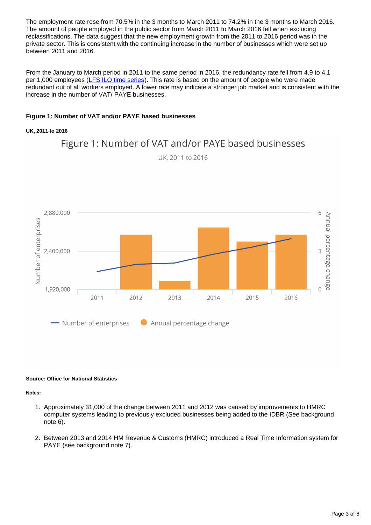The employment rate rose from 70.5% in the 3 months to March 2011 to 74.2% in the 3 months to March 2016. The amount of people employed in the public sector from March 2011 to March 2016 fell when excluding reclassifications. The data suggest that the new employment growth from the 2011 to 2016 period was in the private sector. This is consistent with the continuing increase in the number of businesses which were set up between 2011 and 2016.

From the January to March period in 2011 to the same period in 2016, the redundancy rate fell from 4.9 to 4.1 per 1,000 employees [\(LFS ILO time series](https://www.ons.gov.uk/employmentandlabourmarket/peoplenotinwork/redundancies/timeseries/beir/lms)). This rate is based on the amount of people who were made redundant out of all workers employed. A lower rate may indicate a stronger job market and is consistent with the increase in the number of VAT/ PAYE businesses.

### **Figure 1: Number of VAT and/or PAYE based businesses**

### **UK, 2011 to 2016**



UK, 2011 to 2016

Figure 1: Number of VAT and/or PAYE based businesses

### **Source: Office for National Statistics**

**Notes:**

1. Approximately 31,000 of the change between 2011 and 2012 was caused by improvements to HMRC computer systems leading to previously excluded businesses being added to the IDBR (See background note 6).

Annual percentage change

2. Between 2013 and 2014 HM Revenue & Customs (HMRC) introduced a Real Time Information system for PAYE (see background note 7).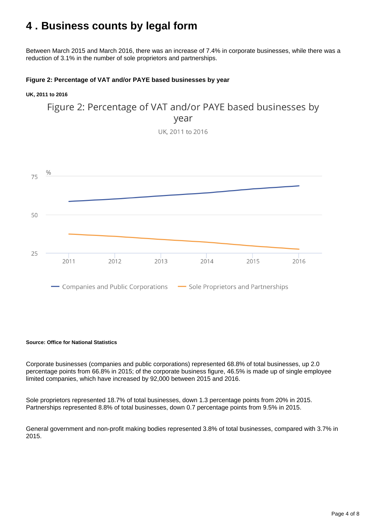# <span id="page-3-0"></span>**4 . Business counts by legal form**

Between March 2015 and March 2016, there was an increase of 7.4% in corporate businesses, while there was a reduction of 3.1% in the number of sole proprietors and partnerships.

### **Figure 2: Percentage of VAT and/or PAYE based businesses by year**

### **UK, 2011 to 2016**

### Figure 2: Percentage of VAT and/or PAYE based businesses by year

UK, 2011 to 2016



#### **Source: Office for National Statistics**

Corporate businesses (companies and public corporations) represented 68.8% of total businesses, up 2.0 percentage points from 66.8% in 2015; of the corporate business figure, 46.5% is made up of single employee limited companies, which have increased by 92,000 between 2015 and 2016.

Sole proprietors represented 18.7% of total businesses, down 1.3 percentage points from 20% in 2015. Partnerships represented 8.8% of total businesses, down 0.7 percentage points from 9.5% in 2015.

General government and non-profit making bodies represented 3.8% of total businesses, compared with 3.7% in 2015.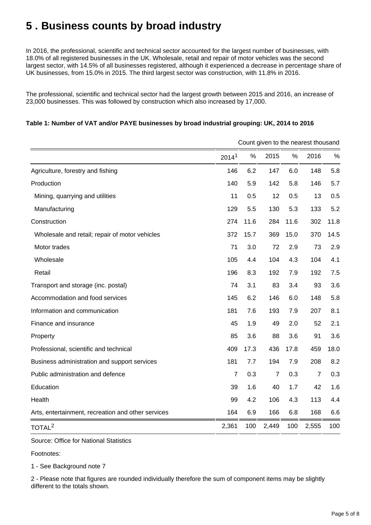# <span id="page-4-0"></span>**5 . Business counts by broad industry**

In 2016, the professional, scientific and technical sector accounted for the largest number of businesses, with 18.0% of all registered businesses in the UK. Wholesale, retail and repair of motor vehicles was the second largest sector, with 14.5% of all businesses registered, although it experienced a decrease in percentage share of UK businesses, from 15.0% in 2015. The third largest sector was construction, with 11.8% in 2016.

The professional, scientific and technical sector had the largest growth between 2015 and 2016, an increase of 23,000 businesses. This was followed by construction which also increased by 17,000.

|                                                    | Count given to the nearest thousand |      |                |      |                |      |  |  |  |  |  |
|----------------------------------------------------|-------------------------------------|------|----------------|------|----------------|------|--|--|--|--|--|
|                                                    | 2014 <sup>1</sup>                   | %    | 2015           | $\%$ | 2016           | %    |  |  |  |  |  |
| Agriculture, forestry and fishing                  | 146                                 | 6.2  | 147            | 6.0  | 148            | 5.8  |  |  |  |  |  |
| Production                                         | 140                                 | 5.9  | 142            | 5.8  | 146            | 5.7  |  |  |  |  |  |
| Mining, quarrying and utilities                    | 11                                  | 0.5  | 12             | 0.5  | 13             | 0.5  |  |  |  |  |  |
| Manufacturing                                      | 129                                 | 5.5  | 130            | 5.3  | 133            | 5.2  |  |  |  |  |  |
| Construction                                       | 274                                 | 11.6 | 284            | 11.6 | 302            | 11.8 |  |  |  |  |  |
| Wholesale and retail; repair of motor vehicles     | 372                                 | 15.7 | 369            | 15.0 | 370            | 14.5 |  |  |  |  |  |
| Motor trades                                       | 71                                  | 3.0  | 72             | 2.9  | 73             | 2.9  |  |  |  |  |  |
| Wholesale                                          | 105                                 | 4.4  | 104            | 4.3  | 104            | 4.1  |  |  |  |  |  |
| Retail                                             | 196                                 | 8.3  | 192            | 7.9  | 192            | 7.5  |  |  |  |  |  |
| Transport and storage (inc. postal)                | 74                                  | 3.1  | 83             | 3.4  | 93             | 3.6  |  |  |  |  |  |
| Accommodation and food services                    | 145                                 | 6.2  | 146            | 6.0  | 148            | 5.8  |  |  |  |  |  |
| Information and communication                      | 181                                 | 7.6  | 193            | 7.9  | 207            | 8.1  |  |  |  |  |  |
| Finance and insurance                              | 45                                  | 1.9  | 49             | 2.0  | 52             | 2.1  |  |  |  |  |  |
| Property                                           | 85                                  | 3.6  | 88             | 3.6  | 91             | 3.6  |  |  |  |  |  |
| Professional, scientific and technical             | 409                                 | 17.3 | 436            | 17.8 | 459            | 18.0 |  |  |  |  |  |
| Business administration and support services       | 181                                 | 7.7  | 194            | 7.9  | 208            | 8.2  |  |  |  |  |  |
| Public administration and defence                  | $\overline{7}$                      | 0.3  | $\overline{7}$ | 0.3  | $\overline{7}$ | 0.3  |  |  |  |  |  |
| Education                                          | 39                                  | 1.6  | 40             | 1.7  | 42             | 1.6  |  |  |  |  |  |
| Health                                             | 99                                  | 4.2  | 106            | 4.3  | 113            | 4.4  |  |  |  |  |  |
| Arts, entertainment, recreation and other services | 164                                 | 6.9  | 166            | 6.8  | 168            | 6.6  |  |  |  |  |  |
| TOTAL <sup>2</sup>                                 | 2,361                               | 100  | 2,449          | 100  | 2,555          | 100  |  |  |  |  |  |

### **Table 1: Number of VAT and/or PAYE businesses by broad industrial grouping: UK, 2014 to 2016**

Source: Office for National Statistics

Footnotes:

1 - See Background note 7

2 - Please note that figures are rounded individually therefore the sum of component items may be slightly different to the totals shown.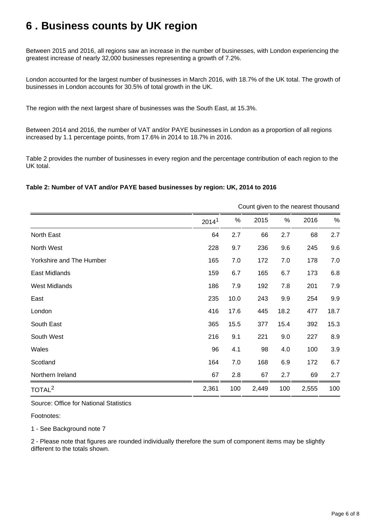# <span id="page-5-0"></span>**6 . Business counts by UK region**

Between 2015 and 2016, all regions saw an increase in the number of businesses, with London experiencing the greatest increase of nearly 32,000 businesses representing a growth of 7.2%.

London accounted for the largest number of businesses in March 2016, with 18.7% of the UK total. The growth of businesses in London accounts for 30.5% of total growth in the UK.

The region with the next largest share of businesses was the South East, at 15.3%.

Between 2014 and 2016, the number of VAT and/or PAYE businesses in London as a proportion of all regions increased by 1.1 percentage points, from 17.6% in 2014 to 18.7% in 2016.

Table 2 provides the number of businesses in every region and the percentage contribution of each region to the UK total.

### **Table 2: Number of VAT and/or PAYE based businesses by region: UK, 2014 to 2016**

Count given to the nearest thousand 2014<sup>1</sup> % 2015 % 2016 % North East 64 2.7 66 2.7 68 2.7 North West 228 9.7 236 9.6 245 9.6 Yorkshire and The Humber 165 7.0 172 7.0 178 7.0 East Midlands 159 6.7 165 6.7 173 6.8 West Midlands 186 7.9 192 7.8 201 7.9 East 235 10.0 243 9.9 254 9.9 London 416 17.6 445 18.2 477 18.7 South East 365 15.5 377 15.4 392 15.3 South West 216 9.1 221 9.0 227 8.9 Wales 96 4.1 98 4.0 100 3.9 Scotland 164 7.0 168 6.9 172 6.7 Northern Ireland 67 2.8 67 2.7 69 2.7 TOTAL<sup>2</sup> 2,361 100 2,449 100 2,555 100

### Source: Office for National Statistics

Footnotes:

1 - See Background note 7

2 - Please note that figures are rounded individually therefore the sum of component items may be slightly different to the totals shown.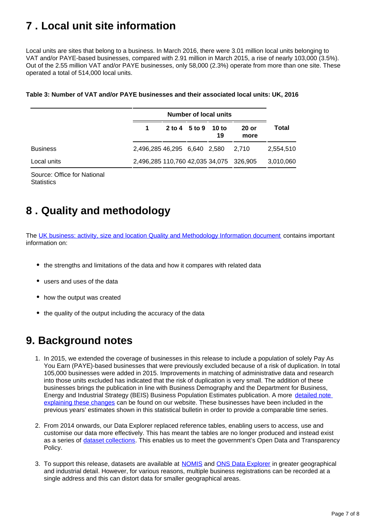# <span id="page-6-0"></span>**7 . Local unit site information**

Local units are sites that belong to a business. In March 2016, there were 3.01 million local units belonging to VAT and/or PAYE-based businesses, compared with 2.91 million in March 2015, a rise of nearly 103,000 (3.5%). Out of the 2.55 million VAT and/or PAYE businesses, only 58,000 (2.3%) operate from more than one site. These operated a total of 514,000 local units.

|                 |                                         | 2 to 4 5 to 9 10 to | 19 | <b>20 or</b><br>more | Total     |
|-----------------|-----------------------------------------|---------------------|----|----------------------|-----------|
| <b>Business</b> | 2,496,285 46,295 6,640 2,580 2,710      |                     |    |                      | 2,554,510 |
| Local units     | 2,496,285 110,760 42,035 34,075 326,905 |                     |    |                      | 3,010,060 |

### **Table 3: Number of VAT and/or PAYE businesses and their associated local units: UK, 2016**

Source: Office for National **Statistics** 

# <span id="page-6-1"></span>**8 . Quality and methodology**

The [UK business: activity, size and location Quality and Methodology Information document](http://www.ons.gov.uk/businessindustryandtrade/business/activitysizeandlocation/qmis/ukbusinessqmi) contains important information on:

- the strengths and limitations of the data and how it compares with related data
- users and uses of the data
- how the output was created
- the quality of the output including the accuracy of the data

### **9. Background notes**

- 1. In 2015, we extended the coverage of businesses in this release to include a population of solely Pay As You Earn (PAYE)-based businesses that were previously excluded because of a risk of duplication. In total 105,000 businesses were added in 2015. Improvements in matching of administrative data and research into those units excluded has indicated that the risk of duplication is very small. The addition of these businesses brings the publication in line with Business Demography and the Department for Business, Energy and Industrial Strategy (BEIS) Business Population Estimates publication. A more detailed note [explaining these changes](http://webarchive.nationalarchives.gov.uk/20160105160709/http://www.ons.gov.uk/ons/guide-method/method-quality/specific/business-and-energy/uk-business--activity--size-and-location/index.html) can be found on our website. These businesses have been included in the previous years' estimates shown in this statistical bulletin in order to provide a comparable time series.
- 2. From 2014 onwards, our Data Explorer replaced reference tables, enabling users to access, use and customise our data more effectively. This has meant the tables are no longer produced and instead exist as a series of [dataset collections](http://www.ons.gov.uk/businessindustryandtrade/business/activitysizeandlocation/datasets/ukbusinessactivitysizeandlocation). This enables us to meet the government's Open Data and Transparency Policy.
- 3. To support this release, datasets are available at [NOMIS](https://www.nomisweb.co.uk/) and [ONS Data Explorer](http://www.ons.gov.uk/businessindustryandtrade/business/activitysizeandlocation/datasets/ukbusinessactivitysizeandlocation) in greater geographical and industrial detail. However, for various reasons, multiple business registrations can be recorded at a single address and this can distort data for smaller geographical areas.